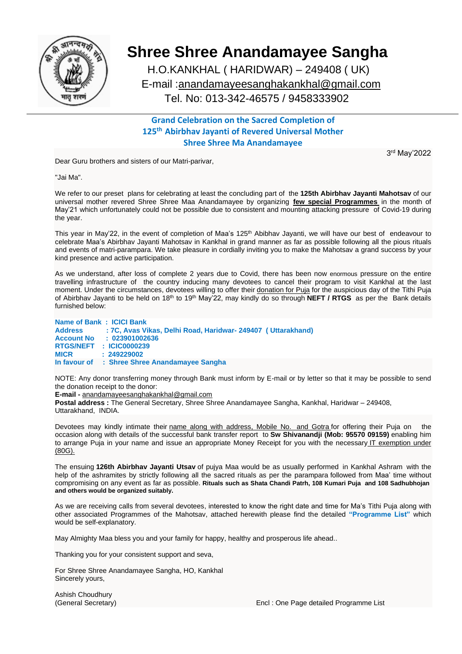

## **Shree Shree Anandamayee Sangha**

 H.O.KANKHAL ( HARIDWAR) – 249408 ( UK) E-mail [:anandamayeesanghakankhal@gmail.com](mailto:anandamayeesangha@gmail.com) Tel. No: 013-342-46575 / 9458333902

## **Grand Celebration on the Sacred Completion of 125th Abirbhav Jayanti of Revered Universal Mother Shree Shree Ma Anandamayee**

Dear Guru brothers and sisters of our Matri-parivar,

3 rd May'2022

"Jai Ma".

We refer to our preset plans for celebrating at least the concluding part of the **125th Abirbhav Jayanti Mahotsav** of our universal mother revered Shree Shree Maa Anandamayee by organizing **few special Programmes** in the month of May'21 which unfortunately could not be possible due to consistent and mounting attacking pressure of Covid-19 during the year.

This year in May'22, in the event of completion of Maa's 125<sup>th</sup> Abibhav Jayanti, we will have our best of endeavour to celebrate Maa's Abirbhav Jayanti Mahotsav in Kankhal in grand manner as far as possible following all the pious rituals and events of matri-parampara. We take pleasure in cordially inviting you to make the Mahotsav a grand success by your kind presence and active participation.

As we understand, after loss of complete 2 years due to Covid, there has been now enormous pressure on the entire travelling infrastructure of the country inducing many devotees to cancel their program to visit Kankhal at the last moment. Under the circumstances, devotees willing to offer their donation for Puja for the auspicious day of the Tithi Puja of Abirbhav Jayanti to be held on 18th to 19th May'22, may kindly do so through **NEFT / RTGS** as per the Bank details furnished below:

| Name of Bank: ICICI Bank |                                                               |
|--------------------------|---------------------------------------------------------------|
| <b>Address</b>           | : 7C, Avas Vikas, Delhi Road, Haridwar- 249407 ( Uttarakhand) |
| <b>Account No</b>        | : 023901002636                                                |
|                          | RTGS/NEFT : ICIC0000239                                       |
| <b>MICR</b>              | : 249229002                                                   |
|                          | In favour of : Shree Shree Anandamayee Sangha                 |

NOTE: Any donor transferring money through Bank must inform by E-mail or by letter so that it may be possible to send the donation receipt to the donor:

**E-mail -** [anandamayeesanghakankhal@gmail.com](mailto:anandamayeesanghakankal@gmail.com)

**Postal address :** The General Secretary, Shree Shree Anandamayee Sangha, Kankhal, Haridwar – 249408, Uttarakhand, INDIA.

Devotees may kindly intimate their name along with address, Mobile No. and Gotra for offering their Puja on the occasion along with details of the successful bank transfer report to **Sw Shivanandji (Mob: 95570 09159)** enabling him to arrange Puja in your name and issue an appropriate Money Receipt for you with the necessary IT exemption under (80G).

The ensuing **126th Abirbhav Jayanti Utsav** of pujya Maa would be as usually performed in Kankhal Ashram with the help of the ashramites by strictly following all the sacred rituals as per the parampara followed from Maa' time without compromising on any event as far as possible. **Rituals such as Shata Chandi Patrh, 108 Kumari Puja and 108 Sadhubhojan and others would be organized suitably.**

As we are receiving calls from several devotees, interested to know the right date and time for Ma's Tithi Puja along with other associated Programmes of the Mahotsav, attached herewith please find the detailed **"Programme List"** which would be self-explanatory.

May Almighty Maa bless you and your family for happy, healthy and prosperous life ahead..

Thanking you for your consistent support and seva,

For Shree Shree Anandamayee Sangha, HO, Kankhal Sincerely yours,

Ashish Choudhury

(General Secretary) Encl : One Page detailed Programme List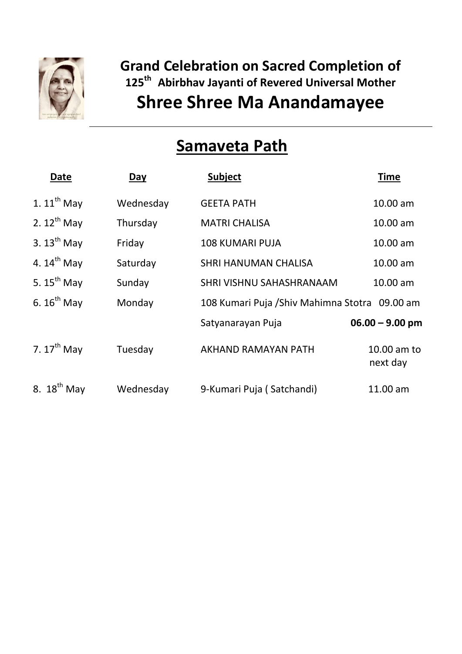

## **Grand Celebration on Sacred Completion of 125th Abirbhav Jayanti of Revered Universal Mother Shree Shree Ma Anandamayee**

# **Samaveta Path**

| Date                    | Day       | <b>Subject</b>                                 | <b>Time</b>             |
|-------------------------|-----------|------------------------------------------------|-------------------------|
| 1. $11^{th}$ May        | Wednesday | <b>GEETA PATH</b>                              | 10.00 am                |
| 2. $12^{th}$ May        | Thursday  | <b>MATRI CHALISA</b>                           | 10.00 am                |
| 3. $13^{th}$ May        | Friday    | <b>108 KUMARI PUJA</b>                         | 10.00 am                |
| 4. $14^{th}$ May        | Saturday  | <b>SHRI HANUMAN CHALISA</b>                    | 10.00 am                |
| 5. $15^{th}$ May        | Sunday    | SHRI VISHNU SAHASHRANAAM                       | 10.00 am                |
| 6. $16^{th}$ May        | Monday    | 108 Kumari Puja / Shiv Mahimna Stotra 09.00 am |                         |
|                         |           | Satyanarayan Puja                              | $06.00 - 9.00$ pm       |
| 7. $17^{th}$ May        | Tuesday   | AKHAND RAMAYAN PATH                            | 10.00 am to<br>next day |
| 8. $18^{\text{th}}$ May | Wednesday | 9-Kumari Puja (Satchandi)                      | 11.00 am                |